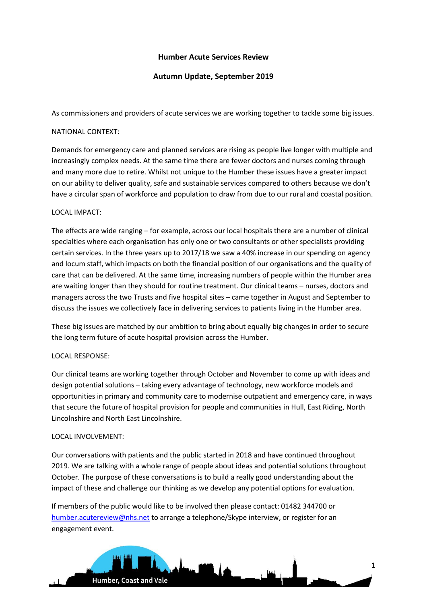# **Humber Acute Services Review**

# **Autumn Update, September 2019**

As commissioners and providers of acute services we are working together to tackle some big issues.

## NATIONAL CONTEXT:

Demands for emergency care and planned services are rising as people live longer with multiple and increasingly complex needs. At the same time there are fewer doctors and nurses coming through and many more due to retire. Whilst not unique to the Humber these issues have a greater impact on our ability to deliver quality, safe and sustainable services compared to others because we don't have a circular span of workforce and population to draw from due to our rural and coastal position.

## LOCAL IMPACT:

The effects are wide ranging – for example, across our local hospitals there are a number of clinical specialties where each organisation has only one or two consultants or other specialists providing certain services. In the three years up to 2017/18 we saw a 40% increase in our spending on agency and locum staff, which impacts on both the financial position of our organisations and the quality of care that can be delivered. At the same time, increasing numbers of people within the Humber area are waiting longer than they should for routine treatment. Our clinical teams – nurses, doctors and managers across the two Trusts and five hospital sites – came together in August and September to discuss the issues we collectively face in delivering services to patients living in the Humber area.

These big issues are matched by our ambition to bring about equally big changes in order to secure the long term future of acute hospital provision across the Humber.

## LOCAL RESPONSE:

Our clinical teams are working together through October and November to come up with ideas and design potential solutions – taking every advantage of technology, new workforce models and opportunities in primary and community care to modernise outpatient and emergency care, in ways that secure the future of hospital provision for people and communities in Hull, East Riding, North Lincolnshire and North East Lincolnshire.

## LOCAL INVOLVEMENT:

Our conversations with patients and the public started in 2018 and have continued throughout 2019. We are talking with a whole range of people about ideas and potential solutions throughout October. The purpose of these conversations is to build a really good understanding about the impact of these and challenge our thinking as we develop any potential options for evaluation.

If members of the public would like to be involved then please contact: 01482 344700 or [humber.acutereview@nhs.net](mailto:humber.acutereview@nhs.net) to arrange a telephone/Skype interview, or register for an engagement event.